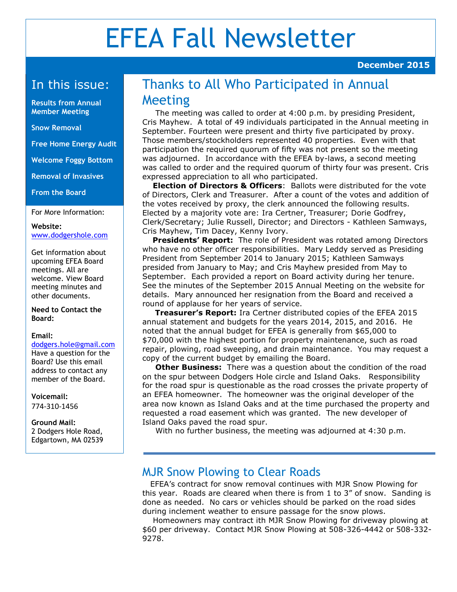# EFEA Fall Newsletter

#### In this issue:

**Results from Annual Member Meeting**

#### **Snow Removal**

**Free Home Energy Audit**

**Welcome Foggy Bottom**

**Removal of Invasives**

**From the Board**

For More Information:

**Website:** [www.dodgershole.com](http://www.dodgershole.com/) 

Get information about upcoming EFEA Board meetings. All are welcome. View Board meeting minutes and other documents.

**Need to Contact the Board:**

#### **Email:**

[dodgers.hole@gmail.com](mailto:dodgers.hole@gmail.com) Have a question for the

Board? Use this email address to contact any member of the Board.

**Voicemail:** 774-310-1456

**Ground Mail:** 2 Dodgers Hole Road, Edgartown, MA 02539

## Thanks to All Who Participated in Annual Meeting

 The meeting was called to order at 4:00 p.m. by presiding President, Cris Mayhew. A total of 49 individuals participated in the Annual meeting in September. Fourteen were present and thirty five participated by proxy. Those members/stockholders represented 40 properties. Even with that participation the required quorum of fifty was not present so the meeting was adjourned. In accordance with the EFEA by-laws, a second meeting was called to order and the required quorum of thirty four was present. Cris expressed appreciation to all who participated.

 **Election of Directors & Officers**: Ballots were distributed for the vote of Directors, Clerk and Treasurer. After a count of the votes and addition of the votes received by proxy, the clerk announced the following results. Elected by a majority vote are: Ira Certner, Treasurer; Dorie Godfrey, Clerk/Secretary; Julie Russell, Director; and Directors - Kathleen Samways, Cris Mayhew, Tim Dacey, Kenny Ivory.

 **Presidents' Report:** The role of President was rotated among Directors who have no other officer responsibilities. Mary Leddy served as Presiding President from September 2014 to January 2015; Kathleen Samways presided from January to May; and Cris Mayhew presided from May to September. Each provided a report on Board activity during her tenure. See the minutes of the September 2015 Annual Meeting on the website for details. Mary announced her resignation from the Board and received a round of applause for her years of service.

 **Treasurer's Report:** Ira Certner distributed copies of the EFEA 2015 annual statement and budgets for the years 2014, 2015, and 2016. He noted that the annual budget for EFEA is generally from \$65,000 to \$70,000 with the highest portion for property maintenance, such as road repair, plowing, road sweeping, and drain maintenance. You may request a copy of the current budget by emailing the Board.

 **Other Business:** There was a question about the condition of the road on the spur between Dodgers Hole circle and Island Oaks. Responsibility for the road spur is questionable as the road crosses the private property of an EFEA homeowner. The homeowner was the original developer of the area now known as Island Oaks and at the time purchased the property and requested a road easement which was granted. The new developer of Island Oaks paved the road spur.

With no further business, the meeting was adjourned at 4:30 p.m.

#### MJR Snow Plowing to Clear Roads

 EFEA's contract for snow removal continues with MJR Snow Plowing for this year. Roads are cleared when there is from 1 to 3" of snow. Sanding is done as needed. No cars or vehicles should be parked on the road sides during inclement weather to ensure passage for the snow plows.

 Homeowners may contract ith MJR Snow Plowing for driveway plowing at \$60 per driveway. Contact MJR Snow Plowing at 508-326-4442 or 508-332- 9278.